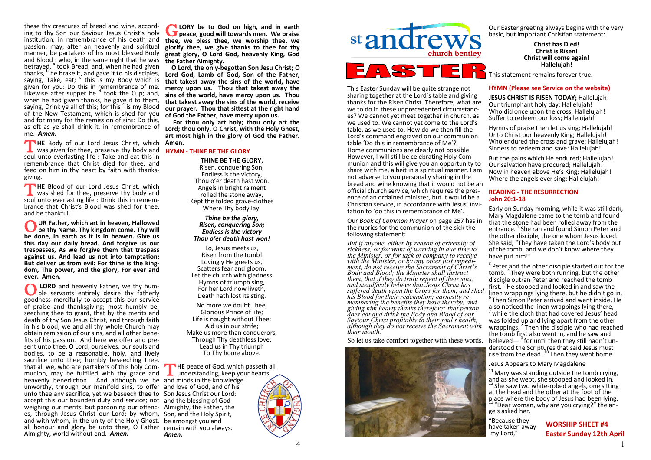these thy creatures of bread and wine, according to thy Son our Saviour Jesus Christ's holy institution, in remembrance of his death and passion, may, after an heavenly and spiritual manner, be partakers of his most blessed Body and Blood : who, in the same night that he was betrayed, <sup>a</sup> took Bread; and, when he had given thanks, <sup>b'</sup>he brake it, and gave it to his disciples, saying, Take, eat;  $\epsilon$  this is my Body which is given for you: Do this in remembrance of me. Likewise after supper he  $d$  took the Cup; and, when he had given thanks, he gave it to them, saying, Drink ye all of this; for this <sup>e</sup> is my Blood of the New Testament, which is shed for you and for many for the remission of sins: Do this, as oft as ye shall drink it, in remembrance of me. *Amen.*

**THE** Body of our Lord Jesus Christ, which was given for thee, preserve thy body and was given for thee, preserve thy body and soul unto everlasting life : Take and eat this in remembrance that Christ died for thee, and feed on him in thy heart by faith with thanksgiving.

THE Blood of our Lord Jesus Christ, which<br>was shed for thee, preserve thy body and **HE** Blood of our Lord Jesus Christ, which soul unto everlasting life : Drink this in remembrance that Christ's Blood was shed for thee, and be thankful.

O UR Father, which art in heaven, Hallowed<br>be thy Name. Thy kingdom come. Thy will<br>be done, in earth as it is in heaven. Give us **UR Father, which art in heaven, Hallowed be thy Name. Thy kingdom come. Thy will this day our daily bread. And forgive us our trespasses, As we forgive them that trespass against us. And lead us not into temptation; But deliver us from evil: For thine is the kingdom, The power, and the glory, For ever and ever. Amen.**

**O LORD** and heavenly Father, we thy hum-<br>ble servants entirely desire thy fatherly **LORD** and heavenly Father, we thy humgoodness mercifully to accept this our service of praise and thanksgiving; most humbly beseeching thee to grant, that by the merits and death of thy Son Jesus Christ, and through faith in his blood, we and all thy whole Church may obtain remission of our sins, and all other benefits of his passion. And here we offer and present unto thee, O Lord, ourselves, our souls and bodies, to be a reasonable, holy, and lively sacrifice unto thee; humbly beseeching thee, that all we, who are partakers of this holy Communion, may be fulfilled with thy grace and heavenly benediction. And although we be and minds in the knowledge unworthy, through our manifold sins, to offer and love of God, and of his unto thee any sacrifice, yet we beseech thee to Son Jesus Christ our Lord: accept this our bounden duty and service; not and the blessing of God weighing our merits, but pardoning our offenc-Almighty, the Father, the es, through Jesus Christ our Lord; by whom, Son, and the Holy Spirit, and with whom, in the unity of the Holy Ghost, be amongst you and all honour and glory be unto thee, O Father remain with you always. Almighty, world without end. *Amen.*

**G** LORY be to God on high, and in earth peace, good will towards men. We praise **LORY be to God on high, and in earth thee, we bless thee, we worship thee, we glorify thee, we give thanks to thee for thy great glory, O Lord God, heavenly King, God the Father Almighty.**

 **O Lord, the only-begotten Son Jesu Christ; O Lord God, Lamb of God, Son of the Father, that takest away the sins of the world, have mercy upon us. Thou that takest away the sins of the world, have mercy upon us. Thou that takest away the sins of the world, receive our prayer. Thou that sittest at the right hand of God the Father, have mercy upon us.**

 **For thou only art holy; thou only art the Lord; thou only, O Christ, with the Holy Ghost, art most high in the glory of God the Father. Amen.**

**HYMN - THINE BE THE GLORY**

**THINE BE THE GLORY,**  Risen, conquering Son; Endless is the victory, Thou o'er death hast won. Angels in bright raiment rolled the stone away, Kept the folded grave-clothes Where Thy body lay.

*Thine be the glory, Risen, conquering Son; Endless is the victory Thou o'er death hast won!*

Lo, Jesus meets us, Risen from the tomb! Lovingly He greets us, Scatters fear and gloom. Let the church with gladness Hymns of triumph sing, For her Lord now liveth, Death hath lost its sting.

No more we doubt Thee, Glorious Prince of life; Life is naught without Thee: Aid us in our strife; Make us more than conquerors. Through Thy deathless love; Lead us in Thy triumph To Thy home above.

THE peace of God, which passeth and understanding, keep your hearts **HE** peace of God, which passeth all *Amen.*



This Easter Sunday will be quite strange not sharing together at the Lord's table and giving thanks for the Risen Christ. Therefore, what are we to do in these unprecedented circumstances? We cannot yet meet together in church, as we used to. We cannot yet come to the Lord's table, as we used to. How do we then fill the Lord's command engraved on our communion table 'Do this in remembrance of Me'? Home communions are clearly not possible. However, I will still be celebrating Holy Communion and this will give you an opportunity to share with me, albeit in a spiritual manner. I am not adverse to you personally sharing in the bread and wine knowing that it would not be an official church service, which requires the presence of an ordained minister, but it would be a Christian service, in accordance with Jesus' invitation to 'do this in remembrance of Me'.

Our *Book of Common Prayer* on page 257 has in the rubrics for the communion of the sick the following statement:

*But if anyone, either by reason of extremity of sickness, or for want of warning in due time to the Minister, or for lack of company to receive with the Minister, or by any other just impediment, do not receive the Sacrament of Christ's Body and Blood; the Minister shall instruct them, that if they do truly repent of their sins, and steadfastly believe that Jesus Christ has suffered death upon the Cross for them, and shed his Blood for their redemption; earnestly remembering the benefits they have thereby, and giving him hearty thanks therefore; that person does eat and drink the Body and Blood of our Saviour Christ profitably to their soul's health, although they do not receive the Sacrament with their mouth.*

So let us take comfort together with these words.



Our Easter greeting always begins with the very basic, but important Christian statement:

> **Christ has Died! Christ is Risen! Christ will come again! Hallelujah!**

This statement remains forever true.

# **HYMN (Please see Service on the website)**

**JESUS CHRIST IS RISEN TODAY;** Hallelujah! Our triumphant holy day; Hallelujah! Who did once upon the cross; Hallelujah! Suffer to redeem our loss; Hallelujah!

Hymns of praise then let us sing; Hallelujah! Unto Christ our heavenly King; Hallelujah! Who endured the cross and grave; Hallelujah! Sinners to redeem and save: Hallelujah!

But the pains which He endured; Hallelujah! Our salvation have procured; Hallelujah! Now in heaven above He's King; Hallelujah! Where the angels ever sing: Hallelujah!

# **READING - THE RESURRECTION John 20:1-18**

Early on Sunday morning, while it was still dark, Mary Magdalene came to the tomb and found that the stone had been rolled away from the entrance.<sup>2</sup> She ran and found Simon Peter and the other disciple, the one whom Jesus loved. She said, "They have taken the Lord's body out of the tomb, and we don't know where they have put him!"

 $3$  Peter and the other disciple started out for the tomb. <sup>4</sup> They were both running, but the other disciple outran Peter and reached the tomb first.<sup>5</sup> He stooped and looked in and saw the linen wrappings lying there, but he didn't go in. 6 Then Simon Peter arrived and went inside. He also noticed the linen wrappings lying there, while the cloth that had covered Jesus' head was folded up and lying apart from the other wrappings. <sup>8</sup> Then the disciple who had reached the tomb first also went in, and he saw and believed—<sup>9</sup> for until then they still hadn't understood the Scriptures that said Jesus must rise from the dead.<sup>10</sup> Then they went home.

Jesus Appears to Mary Magdalene

 $11$  Mary was standing outside the tomb crying, and as she wept, she stooped and looked in. <sup>12</sup> She saw two white-robed angels, one sitting at the head and the other at the foot of the place where the body of Jesus had been lying. "Dear woman, why are you crying?" the angels asked her.

"Because they have taken awav my Lord,"

**WORSHIP SHEET #4 Easter Sunday 12th April**